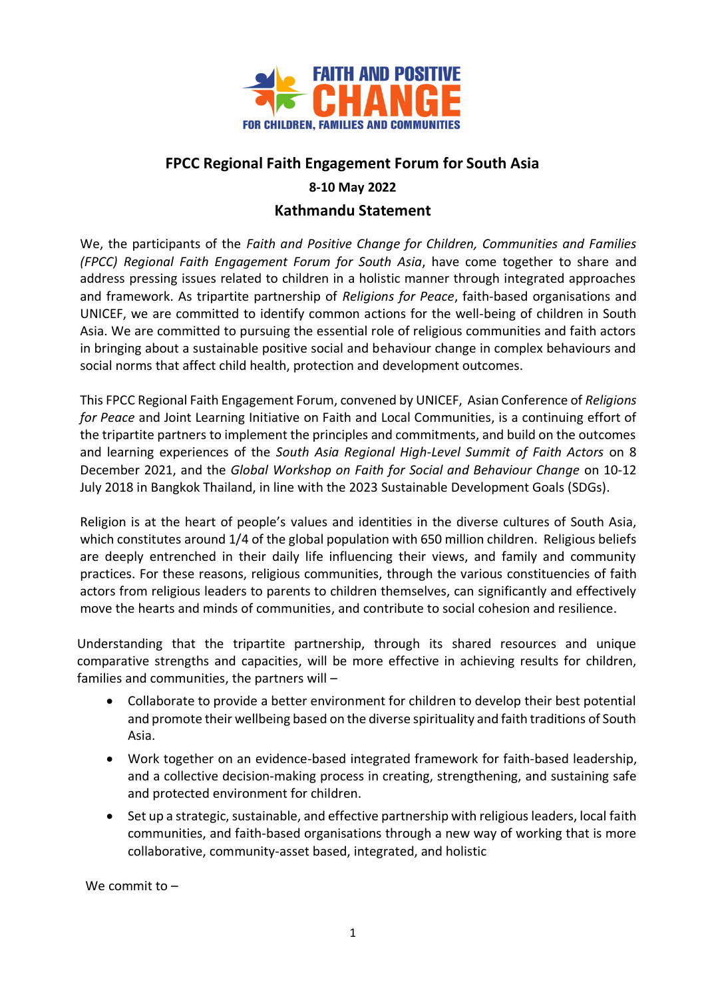

## **FPCC Regional Faith Engagement Forum for South Asia**

## **8-10 May 2022**

## **Kathmandu Statement**

We, the participants of the *Faith and Positive Change for Children, Communities and Families (FPCC) Regional Faith Engagement Forum for South Asia*, have come together to share and address pressing issues related to children in a holistic manner through integrated approaches and framework. As tripartite partnership of *Religions for Peace*, faith-based organisations and UNICEF, we are committed to identify common actions for the well-being of children in South Asia. We are committed to pursuing the essential role of religious communities and faith actors in bringing about a sustainable positive social and behaviour change in complex behaviours and social norms that affect child health, protection and development outcomes.

This FPCC Regional Faith Engagement Forum, convened by UNICEF, Asian Conference of *Religions for Peace* and Joint Learning Initiative on Faith and Local Communities, is a continuing effort of the tripartite partners to implement the principles and commitments, and build on the outcomes and learning experiences of the *South Asia Regional High-Level Summit of Faith Actors* on 8 December 2021, and the *Global Workshop on Faith for Social and Behaviour Change* on 10-12 July 2018 in Bangkok Thailand, in line with the 2023 Sustainable Development Goals (SDGs).

Religion is at the heart of people's values and identities in the diverse cultures of South Asia, which constitutes around 1/4 of the global population with 650 million children. Religious beliefs are deeply entrenched in their daily life influencing their views, and family and community practices. For these reasons, religious communities, through the various constituencies of faith actors from religious leaders to parents to children themselves, can significantly and effectively move the hearts and minds of communities, and contribute to social cohesion and resilience.

Understanding that the tripartite partnership, through its shared resources and unique comparative strengths and capacities, will be more effective in achieving results for children, families and communities, the partners will –

- Collaborate to provide a better environment for children to develop their best potential and promote their wellbeing based on the diverse spirituality and faith traditions of South Asia.
- Work together on an evidence-based integrated framework for faith-based leadership, and a collective decision-making process in creating, strengthening, and sustaining safe and protected environment for children.
- Set up a strategic, sustainable, and effective partnership with religious leaders, local faith communities, and faith-based organisations through a new way of working that is more collaborative, community-asset based, integrated, and holistic

We commit to –